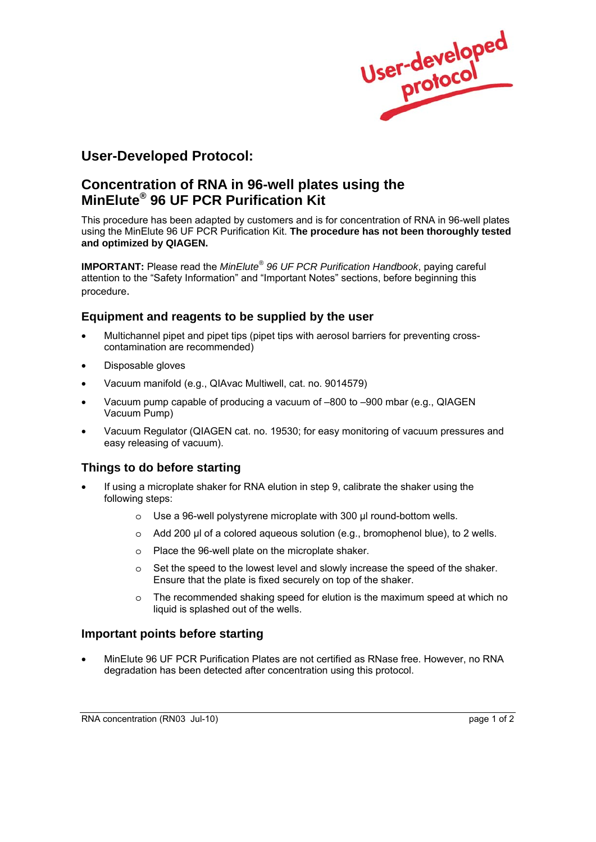

## **User-Developed Protocol:**

# **Concentration of RNA in 96-well plates using the MinElute® 96 UF PCR Purification Kit**

This procedure has been adapted by customers and is for concentration of RNA in 96-well plates using the MinElute 96 UF PCR Purification Kit. **The procedure has not been thoroughly tested and optimized by QIAGEN.** 

**IMPORTANT:** Please read the *MinElute® 96 UF PCR Purification Handbook*, paying careful attention to the "Safety Information" and "Important Notes" sections, before beginning this procedure.

## **Equipment and reagents to be supplied by the user**

- Multichannel pipet and pipet tips (pipet tips with aerosol barriers for preventing crosscontamination are recommended)
- Disposable gloves
- Vacuum manifold (e.g., QIAvac Multiwell, cat. no. 9014579)
- Vacuum pump capable of producing a vacuum of –800 to –900 mbar (e.g., QIAGEN Vacuum Pump)
- Vacuum Regulator (QIAGEN cat. no. 19530; for easy monitoring of vacuum pressures and easy releasing of vacuum).

## **Things to do before starting**

- If using a microplate shaker for RNA elution in step 9, calibrate the shaker using the following steps:
	- o Use a 96-well polystyrene microplate with 300 μl round-bottom wells.
	- o Add 200 µl of a colored aqueous solution (e.g., bromophenol blue), to 2 wells.
	- o Place the 96-well plate on the microplate shaker.
	- $\circ$  Set the speed to the lowest level and slowly increase the speed of the shaker. Ensure that the plate is fixed securely on top of the shaker.
	- $\circ$  The recommended shaking speed for elution is the maximum speed at which no liquid is splashed out of the wells.

#### **Important points before starting**

• MinElute 96 UF PCR Purification Plates are not certified as RNase free. However, no RNA degradation has been detected after concentration using this protocol.